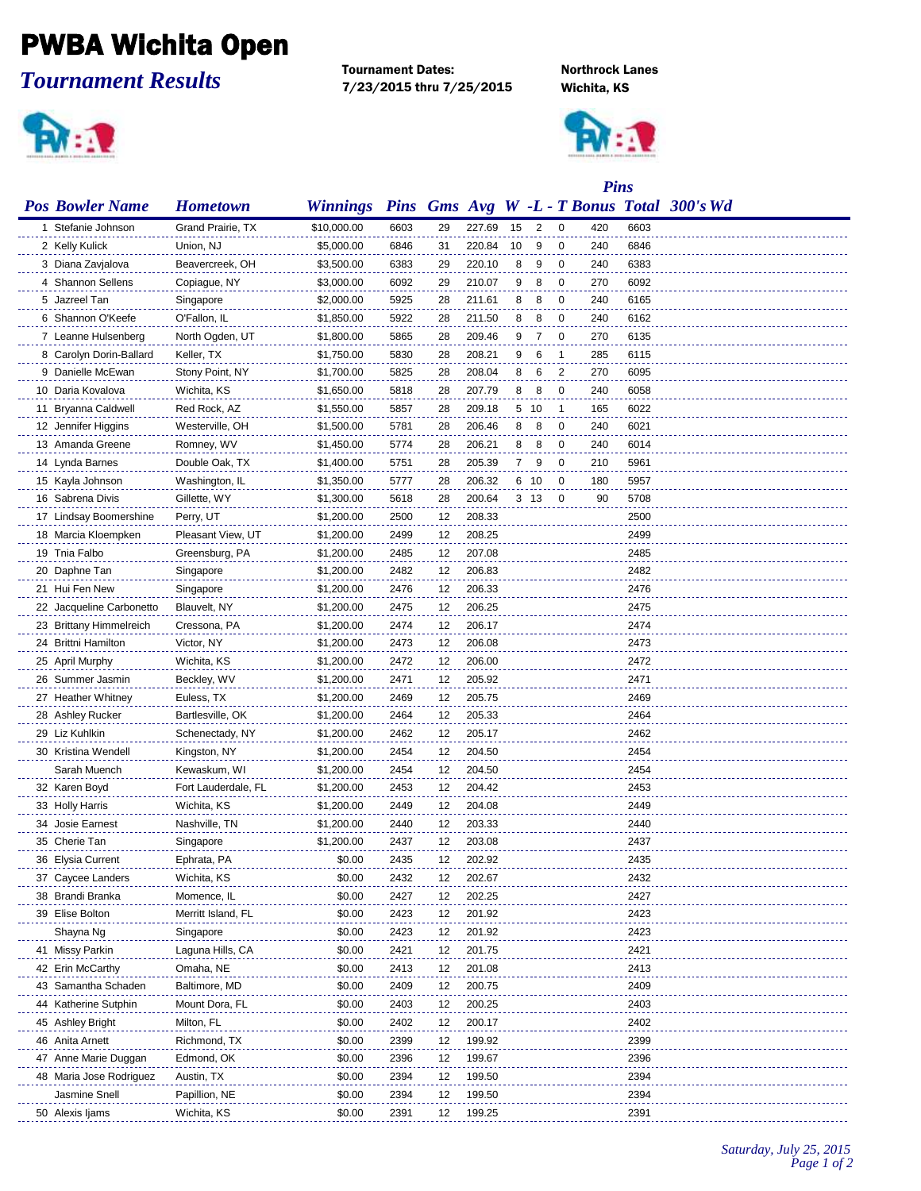## PWBA Wichita Open

*Tournament Results*

**PV: 1** 

Tournament Dates: Northrock Lanes 7/23/2015 thru 7/25/2015 Wichita, KS



|                          |                     |                 |      |        |        | <b>Pins</b> |      |    |     |      |                                            |
|--------------------------|---------------------|-----------------|------|--------|--------|-------------|------|----|-----|------|--------------------------------------------|
| <b>Pos Bowler Name</b>   | <b>Hometown</b>     | <b>Winnings</b> |      |        |        |             |      |    |     |      | Pins Gms Avg W -L - T Bonus Total 300's Wd |
| 1 Stefanie Johnson       | Grand Prairie, TX   | \$10,000.00     | 6603 | 29     | 227.69 | 15          | 2    | 0  | 420 | 6603 |                                            |
| 2 Kelly Kulick           | Union, NJ           | \$5,000.00      | 6846 | 31     | 220.84 | 10          | 9    | 0  | 240 | 6846 |                                            |
| 3 Diana Zavjalova        | Beavercreek, OH     | \$3,500.00      | 6383 | 29     | 220.10 | 8           | 9    | 0  | 240 | 6383 |                                            |
| 4 Shannon Sellens        | Copiague, NY        | \$3,000.00      | 6092 | 29     | 210.07 | 9           | 8    | 0  | 270 | 6092 |                                            |
| 5 Jazreel Tan            | Singapore           | \$2,000.00      | 5925 | 28     | 211.61 | 8           | 8    | 0  | 240 | 6165 |                                            |
| 6 Shannon O'Keefe        | O'Fallon, IL        | \$1,850.00      | 5922 | 28     | 211.50 | 8           | 8    | 0  | 240 | 6162 |                                            |
| 7 Leanne Hulsenberg      | North Ogden, UT     | \$1,800.00      | 5865 | 28     | 209.46 | 9           | 7    | 0  | 270 | 6135 |                                            |
| 8 Carolyn Dorin-Ballard  | Keller, TX          | \$1,750.00      | 5830 | 28     | 208.21 | 9           | 6    | -1 | 285 | 6115 |                                            |
| 9 Danielle McEwan        | Stony Point, NY     | \$1,700.00      | 5825 | 28     | 208.04 | 8           | 6    | 2  | 270 | 6095 |                                            |
| 10 Daria Kovalova        | Wichita, KS         | \$1,650.00      | 5818 | 28     | 207.79 | 8           | 8    | 0  | 240 | 6058 |                                            |
| 11 Bryanna Caldwell      | Red Rock, AZ        | \$1,550.00      | 5857 | 28     | 209.18 |             | 5 10 | 1  | 165 | 6022 |                                            |
| 12 Jennifer Higgins      | Westerville, OH     | \$1,500.00      | 5781 | 28     | 206.46 | 8           | 8    | 0  | 240 | 6021 |                                            |
| 13 Amanda Greene         | Romney, WV          | \$1,450.00      | 5774 | 28     | 206.21 | 8           | 8    | 0  | 240 | 6014 |                                            |
| 14 Lynda Barnes          | Double Oak, TX      | \$1,400.00      | 5751 | 28     | 205.39 | 7           | 9    | 0  | 210 | 5961 |                                            |
| 15 Kayla Johnson         | Washington, IL      | \$1,350.00      | 5777 | 28     | 206.32 | 6           | - 10 | 0  | 180 | 5957 |                                            |
| 16 Sabrena Divis         | Gillette, WY        | \$1,300.00      | 5618 | 28     | 200.64 |             | 3 13 | 0  | 90  | 5708 |                                            |
| 17 Lindsay Boomershine   | Perry, UT           | \$1,200.00      | 2500 | 12     | 208.33 |             |      |    |     | 2500 |                                            |
| 18 Marcia Kloempken      | Pleasant View, UT   | \$1,200.00      | 2499 | 12     | 208.25 |             |      |    |     | 2499 |                                            |
| 19 Tnia Falbo            | Greensburg, PA      | \$1,200.00      | 2485 | 12     | 207.08 |             |      |    |     | 2485 |                                            |
| 20 Daphne Tan            | Singapore           | \$1,200.00      | 2482 | 12     | 206.83 |             |      |    |     | 2482 |                                            |
| 21 Hui Fen New           | Singapore           | \$1,200.00      | 2476 | 12     | 206.33 |             |      |    |     | 2476 |                                            |
| 22 Jacqueline Carbonetto | Blauvelt, NY        | \$1,200.00      | 2475 | 12     | 206.25 |             |      |    |     | 2475 |                                            |
| 23 Brittany Himmelreich  | Cressona, PA        | \$1,200.00      | 2474 | 12     | 206.17 |             |      |    |     | 2474 |                                            |
| 24 Brittni Hamilton      | Victor, NY          | \$1,200.00      | 2473 | 12     | 206.08 |             |      |    |     | 2473 |                                            |
| 25 April Murphy          | Wichita, KS         | \$1,200.00      | 2472 | 12     | 206.00 |             |      |    |     | 2472 |                                            |
| 26 Summer Jasmin         | Beckley, WV         | \$1,200.00      | 2471 | 12     | 205.92 |             |      |    |     | 2471 |                                            |
| 27 Heather Whitney       | Euless, TX          | \$1,200.00      | 2469 | 12     | 205.75 |             |      |    |     | 2469 |                                            |
| 28 Ashley Rucker         | Bartlesville, OK    | \$1,200.00      | 2464 | 12     | 205.33 |             |      |    |     | 2464 |                                            |
| 29 Liz Kuhlkin           | Schenectady, NY     | \$1,200.00      | 2462 | 12     | 205.17 |             |      |    |     | 2462 |                                            |
| 30 Kristina Wendell      | Kingston, NY        | \$1,200.00      | 2454 | 12     | 204.50 |             |      |    |     | 2454 |                                            |
| Sarah Muench             | Kewaskum, WI        | \$1,200.00      | 2454 | 12     | 204.50 |             |      |    |     | 2454 |                                            |
| 32 Karen Boyd            | Fort Lauderdale, FL | \$1,200.00      | 2453 | 12     | 204.42 |             |      |    |     | 2453 |                                            |
| 33 Holly Harris          | Wichita, KS         | \$1,200.00      | 2449 | 12     | 204.08 |             |      |    |     | 2449 |                                            |
| 34 Josie Earnest         | Nashville, TN       | \$1,200.00      | 2440 | 12     | 203.33 |             |      |    |     | 2440 |                                            |
| 35 Cherie Tan            | Singapore           | \$1,200.00      | 2437 | 12     | 203.08 |             |      |    |     | 2437 |                                            |
| 36 Elysia Current        | Ephrata, PA         | \$0.00          | 2435 | $12\,$ | 202.92 |             |      |    |     | 2435 |                                            |
| 37 Caycee Landers        | Wichita, KS         | \$0.00          | 2432 | 12     | 202.67 |             |      |    |     | 2432 |                                            |
| 38 Brandi Branka         | Momence, IL         | \$0.00          | 2427 | 12     | 202.25 |             |      |    |     | 2427 |                                            |
| 39 Elise Bolton          | Merritt Island, FL  | \$0.00          | 2423 | 12     | 201.92 |             |      |    |     | 2423 |                                            |
| Shayna Ng                | Singapore           | \$0.00          | 2423 | 12     | 201.92 |             |      |    |     | 2423 |                                            |
| 41 Missy Parkin          | Laguna Hills, CA    | \$0.00          | 2421 | 12     | 201.75 |             |      |    |     | 2421 |                                            |
| 42 Erin McCarthy         | Omaha, NE           | \$0.00          | 2413 | 12     | 201.08 |             |      |    |     | 2413 |                                            |
| 43 Samantha Schaden      | Baltimore, MD       | \$0.00          | 2409 | 12     | 200.75 |             |      |    |     | 2409 |                                            |
| 44 Katherine Sutphin     | Mount Dora, FL      | \$0.00          | 2403 | 12     | 200.25 |             |      |    |     | 2403 |                                            |
| 45 Ashley Bright         | Milton, FL          | \$0.00          | 2402 | 12     | 200.17 |             |      |    |     | 2402 |                                            |
| 46 Anita Arnett          | Richmond, TX        | \$0.00          | 2399 | 12     | 199.92 |             |      |    |     | 2399 |                                            |
| 47 Anne Marie Duggan     | Edmond, OK          | \$0.00          | 2396 | 12     | 199.67 |             |      |    |     | 2396 |                                            |
| 48 Maria Jose Rodriguez  | Austin, TX          | \$0.00          | 2394 | 12     | 199.50 |             |      |    |     | 2394 |                                            |
| Jasmine Snell            | Papillion, NE       | \$0.00          | 2394 | 12     | 199.50 |             |      |    |     | 2394 |                                            |
| 50 Alexis Ijams          | Wichita, KS         | \$0.00          | 2391 | 12     | 199.25 |             |      |    |     | 2391 |                                            |